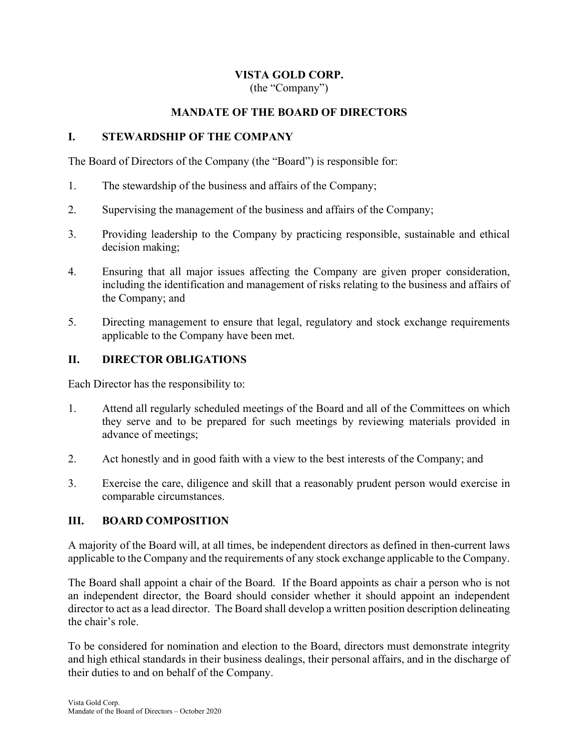# VISTA GOLD CORP.

(the "Company")

### MANDATE OF THE BOARD OF DIRECTORS

#### I. STEWARDSHIP OF THE COMPANY

The Board of Directors of the Company (the "Board") is responsible for:

- 1. The stewardship of the business and affairs of the Company;
- 2. Supervising the management of the business and affairs of the Company;
- 3. Providing leadership to the Company by practicing responsible, sustainable and ethical decision making;
- 4. Ensuring that all major issues affecting the Company are given proper consideration, including the identification and management of risks relating to the business and affairs of the Company; and
- 5. Directing management to ensure that legal, regulatory and stock exchange requirements applicable to the Company have been met.

### II. DIRECTOR OBLIGATIONS

Each Director has the responsibility to:

- 1. Attend all regularly scheduled meetings of the Board and all of the Committees on which they serve and to be prepared for such meetings by reviewing materials provided in advance of meetings;
- 2. Act honestly and in good faith with a view to the best interests of the Company; and
- 3. Exercise the care, diligence and skill that a reasonably prudent person would exercise in comparable circumstances.

#### III. BOARD COMPOSITION

A majority of the Board will, at all times, be independent directors as defined in then-current laws applicable to the Company and the requirements of any stock exchange applicable to the Company.

The Board shall appoint a chair of the Board. If the Board appoints as chair a person who is not an independent director, the Board should consider whether it should appoint an independent director to act as a lead director. The Board shall develop a written position description delineating the chair's role.

To be considered for nomination and election to the Board, directors must demonstrate integrity and high ethical standards in their business dealings, their personal affairs, and in the discharge of their duties to and on behalf of the Company.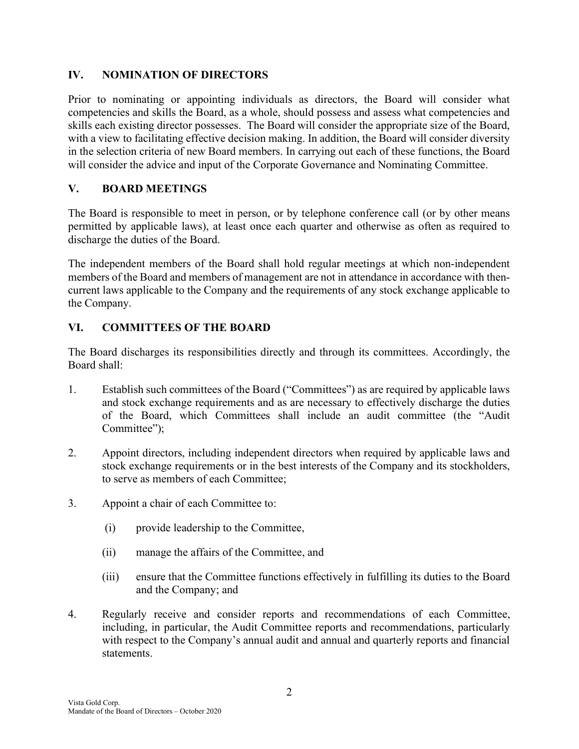## IV. NOMINATION OF DIRECTORS

Prior to nominating or appointing individuals as directors, the Board will consider what competencies and skills the Board, as a whole, should possess and assess what competencies and skills each existing director possesses. The Board will consider the appropriate size of the Board, with a view to facilitating effective decision making. In addition, the Board will consider diversity in the selection criteria of new Board members. In carrying out each of these functions, the Board will consider the advice and input of the Corporate Governance and Nominating Committee.

## V. BOARD MEETINGS

The Board is responsible to meet in person, or by telephone conference call (or by other means permitted by applicable laws), at least once each quarter and otherwise as often as required to discharge the duties of the Board.

The independent members of the Board shall hold regular meetings at which non-independent members of the Board and members of management are not in attendance in accordance with thencurrent laws applicable to the Company and the requirements of any stock exchange applicable to the Company.

## VI. COMMITTEES OF THE BOARD

The Board discharges its responsibilities directly and through its committees. Accordingly, the Board shall:

- 1. Establish such committees of the Board ("Committees") as are required by applicable laws and stock exchange requirements and as are necessary to effectively discharge the duties of the Board, which Committees shall include an audit committee (the "Audit Committee":
- 2. Appoint directors, including independent directors when required by applicable laws and stock exchange requirements or in the best interests of the Company and its stockholders, to serve as members of each Committee;
- 3. Appoint a chair of each Committee to:
	- (i) provide leadership to the Committee,
	- (ii) manage the affairs of the Committee, and
	- (iii) ensure that the Committee functions effectively in fulfilling its duties to the Board and the Company; and
- 4. Regularly receive and consider reports and recommendations of each Committee, including, in particular, the Audit Committee reports and recommendations, particularly with respect to the Company's annual audit and annual and quarterly reports and financial statements.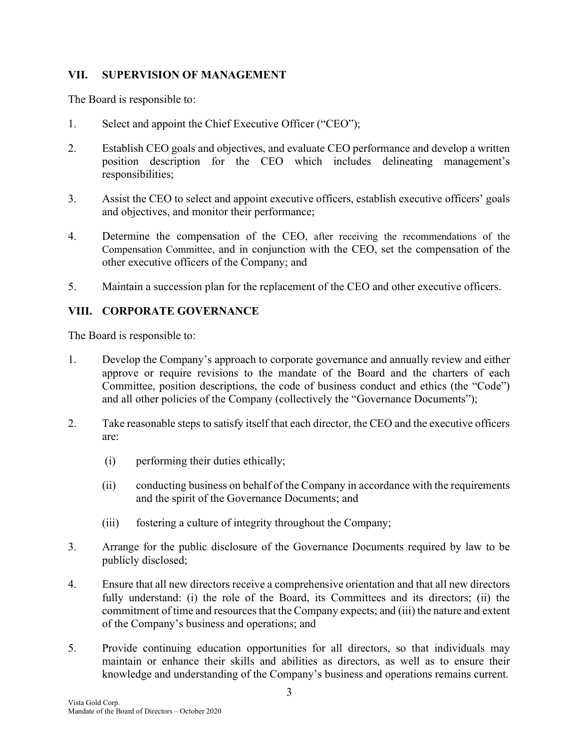## VII. SUPERVISION OF MANAGEMENT

The Board is responsible to:

- 1. Select and appoint the Chief Executive Officer ("CEO");
- 2. Establish CEO goals and objectives, and evaluate CEO performance and develop a written position description for the CEO which includes delineating management's responsibilities;
- 3. Assist the CEO to select and appoint executive officers, establish executive officers' goals and objectives, and monitor their performance;
- 4. Determine the compensation of the CEO, after receiving the recommendations of the Compensation Committee, and in conjunction with the CEO, set the compensation of the other executive officers of the Company; and
- 5. Maintain a succession plan for the replacement of the CEO and other executive officers.

## VIII. CORPORATE GOVERNANCE

The Board is responsible to:

- 1. Develop the Company's approach to corporate governance and annually review and either approve or require revisions to the mandate of the Board and the charters of each Committee, position descriptions, the code of business conduct and ethics (the "Code") and all other policies of the Company (collectively the "Governance Documents");
- 2. Take reasonable steps to satisfy itself that each director, the CEO and the executive officers are:
	- (i) performing their duties ethically;
	- (ii) conducting business on behalf of the Company in accordance with the requirements and the spirit of the Governance Documents; and
	- (iii) fostering a culture of integrity throughout the Company;
- 3. Arrange for the public disclosure of the Governance Documents required by law to be publicly disclosed;
- 4. Ensure that all new directors receive a comprehensive orientation and that all new directors fully understand: (i) the role of the Board, its Committees and its directors; (ii) the commitment of time and resources that the Company expects; and (iii) the nature and extent of the Company's business and operations; and
- 5. Provide continuing education opportunities for all directors, so that individuals may maintain or enhance their skills and abilities as directors, as well as to ensure their knowledge and understanding of the Company's business and operations remains current.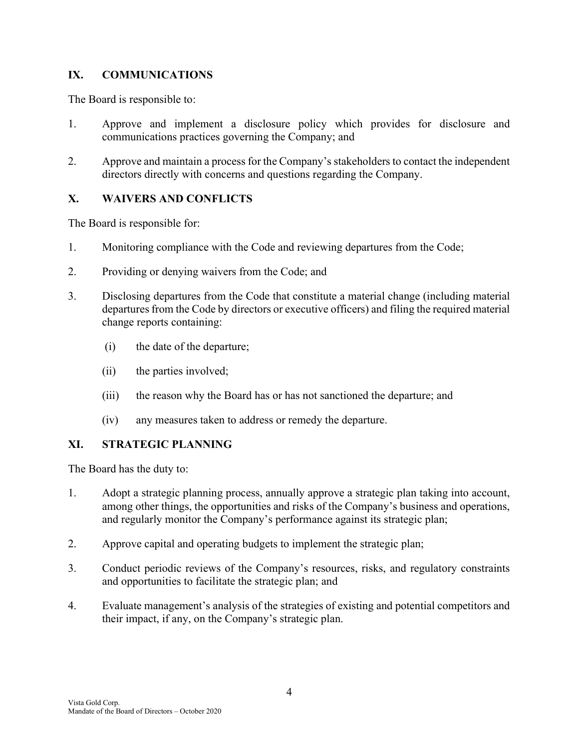## IX. COMMUNICATIONS

The Board is responsible to:

- 1. Approve and implement a disclosure policy which provides for disclosure and communications practices governing the Company; and
- 2. Approve and maintain a process for the Company's stakeholders to contact the independent directors directly with concerns and questions regarding the Company.

## X. WAIVERS AND CONFLICTS

The Board is responsible for:

- 1. Monitoring compliance with the Code and reviewing departures from the Code;
- 2. Providing or denying waivers from the Code; and
- 3. Disclosing departures from the Code that constitute a material change (including material departures from the Code by directors or executive officers) and filing the required material change reports containing:
	- (i) the date of the departure;
	- (ii) the parties involved;
	- (iii) the reason why the Board has or has not sanctioned the departure; and
	- (iv) any measures taken to address or remedy the departure.

### XI. STRATEGIC PLANNING

The Board has the duty to:

- 1. Adopt a strategic planning process, annually approve a strategic plan taking into account, among other things, the opportunities and risks of the Company's business and operations, and regularly monitor the Company's performance against its strategic plan;
- 2. Approve capital and operating budgets to implement the strategic plan;
- 3. Conduct periodic reviews of the Company's resources, risks, and regulatory constraints and opportunities to facilitate the strategic plan; and
- 4. Evaluate management's analysis of the strategies of existing and potential competitors and their impact, if any, on the Company's strategic plan.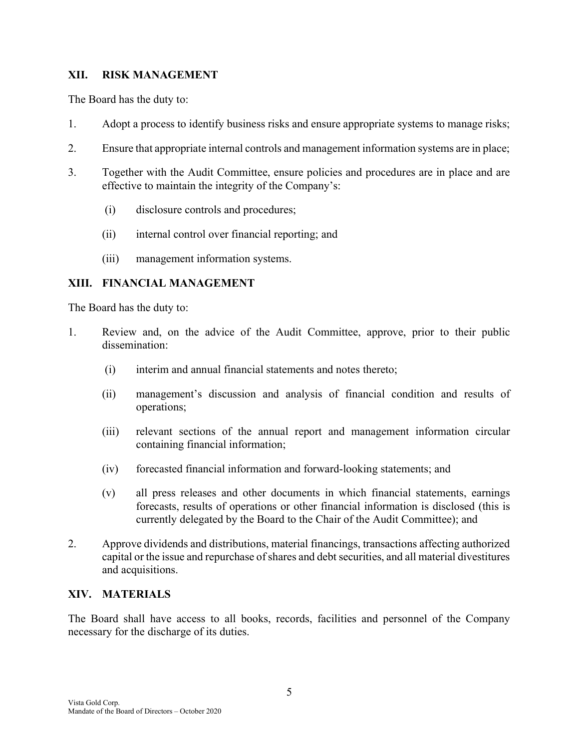### XII. RISK MANAGEMENT

The Board has the duty to:

- 1. Adopt a process to identify business risks and ensure appropriate systems to manage risks;
- 2. Ensure that appropriate internal controls and management information systems are in place;
- 3. Together with the Audit Committee, ensure policies and procedures are in place and are effective to maintain the integrity of the Company's:
	- (i) disclosure controls and procedures;
	- (ii) internal control over financial reporting; and
	- (iii) management information systems.

### XIII. FINANCIAL MANAGEMENT

The Board has the duty to:

- 1. Review and, on the advice of the Audit Committee, approve, prior to their public dissemination:
	- (i) interim and annual financial statements and notes thereto;
	- (ii) management's discussion and analysis of financial condition and results of operations;
	- (iii) relevant sections of the annual report and management information circular containing financial information;
	- (iv) forecasted financial information and forward-looking statements; and
	- (v) all press releases and other documents in which financial statements, earnings forecasts, results of operations or other financial information is disclosed (this is currently delegated by the Board to the Chair of the Audit Committee); and
- 2. Approve dividends and distributions, material financings, transactions affecting authorized capital or the issue and repurchase of shares and debt securities, and all material divestitures and acquisitions.

### XIV. MATERIALS

The Board shall have access to all books, records, facilities and personnel of the Company necessary for the discharge of its duties.